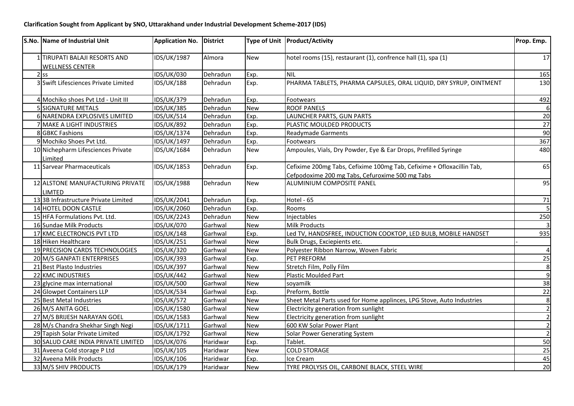| <b>S.No. Name of Industrial Unit</b>                    | Application No. District |                 |            | Type of Unit Product/Activity                                         | Prop. Emp.     |
|---------------------------------------------------------|--------------------------|-----------------|------------|-----------------------------------------------------------------------|----------------|
| 1 TIRUPATI BALAJI RESORTS AND<br><b>WELLNESS CENTER</b> | IDS/UK/1987              | Almora          | New        | hotel rooms (15), restaurant (1), confrence hall (1), spa (1)         | 17             |
| $2$ ss                                                  | <b>IDS/UK/030</b>        | Dehradun        | Exp.       | <b>NIL</b>                                                            | 165            |
| 3 Swift Lifesciences Private Limited                    | <b>IDS/UK/188</b>        | Dehradun        | Exp.       | PHARMA TABLETS, PHARMA CAPSULES, ORAL LIQUID, DRY SYRUP, OINTMENT     | 130            |
| 4 Mochiko shoes Pvt Ltd - Unit III                      | IDS/UK/379               | Dehradun        | Exp.       | Footwears                                                             | 492            |
| 5 SIGNATURE METALS                                      | <b>IDS/UK/385</b>        | Dehradun        | <b>New</b> | <b>ROOF PANELS</b>                                                    | 6              |
| 6 NARENDRA EXPLOSIVES LIMITED                           | <b>IDS/UK/514</b>        | Dehradun        | Exp.       | LAUNCHER PARTS, GUN PARTS                                             | 20             |
| 7 MAKE A LIGHT INDUSTRIES                               | <b>IDS/UK/892</b>        | Dehradun        | Exp.       | PLASTIC MOULDED PRODUCTS                                              | 27             |
| 8 GBKC Fashions                                         | IDS/UK/1374              | Dehradun        | Exp.       | Readymade Garments                                                    | 90             |
| 9 Mochiko Shoes Pvt Ltd.                                | IDS/UK/1497              | Dehradun        | Exp.       | Footwears                                                             | 367            |
| 10 Nichepharm Lifesciences Private<br>Limited           | IDS/UK/1684              | Dehradun        | New        | Ampoules, Vials, Dry Powder, Eye & Ear Drops, Prefilled Syringe       | 480            |
| 11 Sarvear Pharmaceuticals                              | IDS/UK/1853              | Dehradun        | Exp.       | Cefixime 200mg Tabs, Cefixime 100mg Tab, Cefixime + Ofloxacillin Tab, | 65             |
|                                                         |                          |                 |            | Cefpodoxime 200 mg Tabs, Cefuroxime 500 mg Tabs                       |                |
| 12 ALSTONE MANUFACTURING PRIVATE<br>LIMTED              | <b>IDS/UK/1988</b>       | Dehradun        | New        | <b>ALUMINIUM COMPOSITE PANEL</b>                                      | 95             |
| 13 3B Infrastructure Private Limited                    | IDS/UK/2041              | Dehradun        | Exp.       | Hotel - 65                                                            | 71             |
| 14 HOTEL DOON CASTLE                                    | IDS/UK/2060              | Dehradun        | Exp.       | Rooms                                                                 | 5 <sub>l</sub> |
| 15 HFA Formulations Pvt. Ltd.                           | IDS/UK/2243              | Dehradun        | New        | <b>Injectables</b>                                                    | 250            |
| 16 Sundae Milk Products                                 | IDS/UK/070               | Garhwal         | <b>New</b> | Milk Products                                                         | $\overline{3}$ |
| 17 KMC ELECTRONCIS PVT LTD                              | <b>IDS/UK/148</b>        | Garhwal         | Exp.       | Led TV, HANDSFREE, INDUCTION COOKTOP, LED BULB, MOBILE HANDSET        | 935            |
| 18 Hiken Healthcare                                     | <b>IDS/UK/251</b>        | Garhwal         | New        | Bulk Drugs, Exciepients etc.                                          |                |
| 19 PRECISION CARDS TECHNOLOGIES                         | <b>IDS/UK/320</b>        | Garhwal         | <b>New</b> | Polyester Ribbon Narrow, Woven Fabric                                 | $\overline{4}$ |
| 20 M/S GANPATI ENTERPRISES                              | IDS/UK/393               | Garhwal         | Exp.       | PET PREFORM                                                           | 25             |
| 21 Best Plasto Industries                               | <b>IDS/UK/397</b>        | Garhwal         | <b>New</b> | Stretch Film, Polly Film                                              | 8 <sup>1</sup> |
| 22 KMC INDUSTRIES                                       | <b>IDS/UK/442</b>        | Garhwal         | New        | <b>Plastic Moulded Part</b>                                           | $\overline{9}$ |
| 23 glycine max international                            | <b>IDS/UK/500</b>        | Garhwal         | <b>New</b> | soyamilk                                                              | 38             |
| 24 Glowpet Containers LLP                               | <b>IDS/UK/534</b>        | Garhwal         | Exp.       | Preform, Bottle                                                       | 22             |
| 25 Best Metal Industries                                | <b>IDS/UK/572</b>        | Garhwal         | <b>New</b> | Sheet Metal Parts used for Home applinces, LPG Stove, Auto Industries | 8 <sup>1</sup> |
| 26 M/S ANITA GOEL                                       | IDS/UK/1580              | Garhwal         | New        | Electricity generation from sunlight                                  | $\mathbf{2}$   |
| 27 M/S BRIJESH NARAYAN GOEL                             | IDS/UK/1583              | Garhwal         | <b>New</b> | Electricity generation from sunlight                                  | $\overline{2}$ |
| 28 M/s Chandra Shekhar Singh Negi                       | IDS/UK/1711              | Garhwal         | New        | 600 KW Solar Power Plant                                              | $\overline{2}$ |
| 29 Tapish Solar Private Limited                         | IDS/UK/1792              | Garhwal         | New        | Solar Power Generating System                                         | $\overline{2}$ |
| 30 SALUD CARE INDIA PRIVATE LIMITED                     | IDS/UK/076               | <b>Haridwar</b> | Exp.       | Tablet.                                                               | 50             |
| 31 Aveena Cold storage P Ltd                            | IDS/UK/105               | Haridwar        | <b>New</b> | <b>COLD STORAGE</b>                                                   | 25             |
| 32 Aveena Milk Products                                 | IDS/UK/106               | Haridwar        | Exp.       | Ice Cream                                                             | 45             |
| 33 M/S SHIV PRODUCTS                                    | IDS/UK/179               | Haridwar        | <b>New</b> | TYRE PROLYSIS OIL, CARBONE BLACK, STEEL WIRE                          | 20             |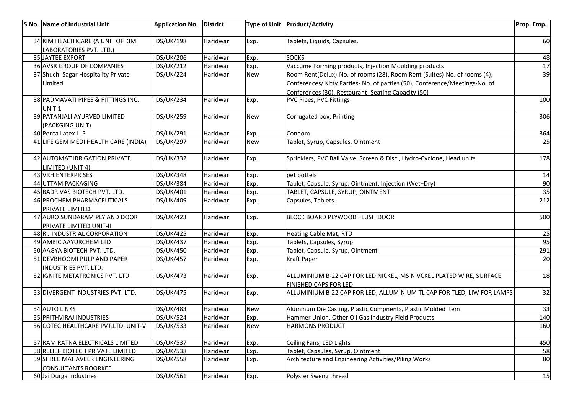| S.No. Name of Industrial Unit                       | <b>Application No.</b> | District        |            | Type of Unit   Product/Activity                                             | Prop. Emp. |
|-----------------------------------------------------|------------------------|-----------------|------------|-----------------------------------------------------------------------------|------------|
| 34 KIM HEALTHCARE (A UNIT OF KIM                    | <b>IDS/UK/198</b>      | Haridwar        | Exp.       | Tablets, Liquids, Capsules.                                                 | 60         |
| LABORATORIES PVT. LTD.)                             |                        |                 |            |                                                                             |            |
| 35 JAYTEE EXPORT                                    | <b>IDS/UK/206</b>      | Haridwar        | Exp.       | <b>SOCKS</b>                                                                | 48         |
| 36 AVSR GROUP OF COMPANIES                          | <b>IDS/UK/212</b>      | Haridwar        | Exp.       | Vaccume Forming products, Injection Moulding products                       | 17         |
| 37 Shuchi Sagar Hospitality Private                 | <b>IDS/UK/224</b>      | Haridwar        | <b>New</b> | Room Rent(Delux)-No. of rooms (28), Room Rent (Suites)-No. of rooms (4),    | 39         |
| Limited                                             |                        |                 |            | Conferences/ Kitty Parties- No. of parties (50), Conference/Meetings-No. of |            |
|                                                     |                        |                 |            | Conferences (30), Restaurant- Seating Capacity (50)                         |            |
| 38 PADMAVATI PIPES & FITTINGS INC.<br>UNIT 1        | <b>IDS/UK/234</b>      | Haridwar        | Exp.       | PVC Pipes, PVC Fittings                                                     | 100        |
| 39 PATANJALI AYURVED LIMITED                        | <b>IDS/UK/259</b>      | Haridwar        | <b>New</b> | Corrugated box, Printing                                                    | 306        |
| (PACKGING UNIT)                                     |                        |                 |            |                                                                             |            |
| 40 Penta Latex LLP                                  | <b>IDS/UK/291</b>      | Haridwar        | Exp.       | Condom                                                                      | 364        |
| 41 LIFE GEM MEDI HEALTH CARE (INDIA)                | <b>IDS/UK/297</b>      | Haridwar        | <b>New</b> | Tablet, Syrup, Capsules, Ointment                                           | 25         |
| 42 AUTOMAT IRRIGATION PRIVATE                       | <b>IDS/UK/332</b>      | Haridwar        | Exp.       | Sprinklers, PVC Ball Valve, Screen & Disc, Hydro-Cyclone, Head units        | 178        |
| LIMITED (UNIT-4)                                    |                        |                 |            |                                                                             |            |
| 43 VRH ENTERPRISES                                  | <b>IDS/UK/348</b>      | Haridwar        | Exp.       | pet bottels                                                                 | 14         |
| 44 UTTAM PACKAGING                                  | <b>IDS/UK/384</b>      | Haridwar        | Exp.       | Tablet, Capsule, Syrup, Ointment, Injection (Wet+Dry)                       | 90         |
| 45 BADRIVAS BIOTECH PVT. LTD.                       | IDS/UK/401             | Haridwar        | Exp.       | TABLET, CAPSULE, SYRUP, OINTMENT                                            | 35         |
| 46 PROCHEM PHARMACEUTICALS                          | IDS/UK/409             | Haridwar        | Exp.       | Capsules, Tablets.                                                          | 212        |
| PRIVATE LIMITED                                     |                        |                 |            |                                                                             |            |
| 47 AURO SUNDARAM PLY AND DOOR                       | <b>IDS/UK/423</b>      | Haridwar        | Exp.       | BLOCK BOARD PLYWOOD FLUSH DOOR                                              | 500        |
| PRIVATE LIMITED UNIT-II                             |                        |                 |            |                                                                             |            |
| 48 R J INDUSTRIAL CORPORATION                       | IDS/UK/425             | <b>Haridwar</b> | Exp.       | <b>Heating Cable Mat, RTD</b>                                               | 25         |
| 49 AMBIC AAYURCHEM LTD                              | <b>IDS/UK/437</b>      | Haridwar        | Exp.       | Tablets, Capsules, Syrup                                                    | 95         |
| 50 AAGYA BIOTECH PVT. LTD.                          | <b>IDS/UK/450</b>      | Haridwar        | Exp.       | Tablet, Capsule, Syrup, Ointment                                            | 291        |
| 51 DEVBHOOMI PULP AND PAPER<br>INDUSTRIES PVT. LTD. | <b>IDS/UK/457</b>      | Haridwar        | Exp.       | <b>Kraft Paper</b>                                                          | 20         |
| 52 IGNITE METATRONICS PVT. LTD.                     | <b>IDS/UK/473</b>      | Haridwar        | Exp.       | ALLUMINIUM B-22 CAP FOR LED NICKEL, MS NIVCKEL PLATED WIRE, SURFACE         | 18         |
|                                                     |                        |                 |            | <b>FINISHED CAPS FOR LED</b>                                                |            |
| 53 DIVERGENT INDUSTRIES PVT. LTD.                   | <b>IDS/UK/475</b>      | Haridwar        | Exp.       | ALLUMINIUM B-22 CAP FOR LED, ALLUMINIUM TL CAP FOR TLED, LIW FOR LAMPS      | 32         |
| <b>54 AUTO LINKS</b>                                | <b>IDS/UK/483</b>      | Haridwar        | <b>New</b> | Aluminum Die Casting, Plastic Compnents, Plastic Molded Item                | 33         |
| 55 PRITHVIRAJ INDUSTRIES                            | <b>IDS/UK/524</b>      | Haridwar        | Exp.       | Hammer Union, Other Oil Gas Industry Field Products                         | 140        |
| 56 COTEC HEALTHCARE PVT.LTD. UNIT-V                 | <b>IDS/UK/533</b>      | Haridwar        | New        | <b>HARMONS PRODUCT</b>                                                      | 160        |
| 57 RAM RATNA ELECTRICALS LIMITED                    | <b>IDS/UK/537</b>      | Haridwar        | Exp.       | Ceiling Fans, LED Lights                                                    | 450        |
| 58 RELIEF BIOTECH PRIVATE LIMITED                   | IDS/UK/538             | Haridwar        | Exp.       | Tablet, Capsules, Syrup, Ointment                                           | 58         |
| 59 SHREE MAHAVEER ENGINEERING                       | <b>IDS/UK/558</b>      | Haridwar        | Exp.       | Architecture and Engineering Activities/Piling Works                        | 80         |
| <b>CONSULTANTS ROORKEE</b>                          |                        |                 |            |                                                                             |            |
| 60 Jai Durga Industries                             | <b>IDS/UK/561</b>      | Haridwar        | Exp.       | Polyster Sweng thread                                                       | 15         |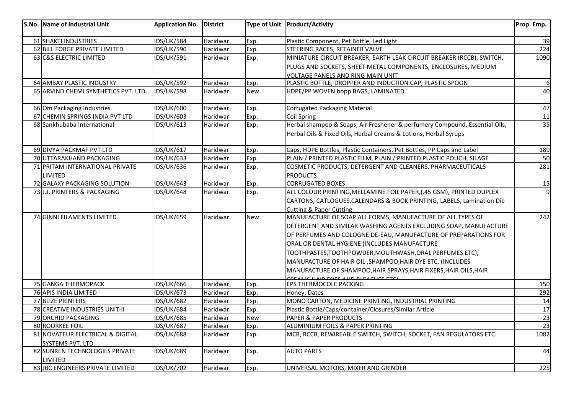| S.No. Name of Industrial Unit       | <b>Application No.</b> | <b>District</b> |            | Type of Unit   Product/Activity                                             | Prop. Emp. |
|-------------------------------------|------------------------|-----------------|------------|-----------------------------------------------------------------------------|------------|
| 61 SHAKTI INDUSTRIES                | <b>IDS/UK/584</b>      | Haridwar        | Exp.       | Plastic Component, Pet Bottle, Led Light                                    | 39         |
| 62 BILL FORGE PRIVATE LIMITED       | <b>IDS/UK/590</b>      | Haridwar        | Exp.       | STEERING RACES, RETAINER VALVE                                              | 224        |
| 63 C&S ELECTRIC LIMITED             | IDS/UK/591             | Haridwar        | Exp.       | MINIATURE CIRCUIT BREAKER, EARTH LEAK CIRCUIT BREAKER (RCCB), SWITCH,       | 1090       |
|                                     |                        |                 |            | PLUGS AND SOCKETS, SHEET METAL COMPONENTS, ENCLOSURES, MEDIUM               |            |
|                                     |                        |                 |            | <b>VOLTAGE PANELS AND RING MAIN UNIT</b>                                    |            |
| 64 AMBAY PLASTIC INDUSTRY           | <b>IDS/UK/592</b>      | Haridwar        | Exp.       | PLASTIC BOTTLE, DROPPER AND INDUCTION CAP, PLASTIC SPOON                    | 6          |
| 65 ARVIND CHEMI SYNTHETICS PVT. LTD | <b>IDS/UK/598</b>      | Haridwar        | <b>New</b> | HDPE/PP WOVEN bopp BAGS, LAMINATED                                          | 40         |
| 66 Om Packaging Industries          | <b>IDS/UK/600</b>      | Haridwar        | Exp.       | <b>Corrugated Packaging Material</b>                                        | 47         |
| 67 CHEMIN SPRINGS INDIA PVT LTD     | <b>IDS/UK/603</b>      | Haridwar        | Exp.       | Coil Spring                                                                 | 11         |
| 68 Sankhubaba International         | <b>IDS/UK/613</b>      | Haridwar        | Exp.       | Herbal shampoo & Soaps, Air Freshener & perfumery Compound, Essential Oils, | 35         |
|                                     |                        |                 |            | Herbal Oils & Fixed Oils, Herbal Creams & Lotions, Herbal Syrups            |            |
| 69 DIVYA PACKMAF PVT LTD            | <b>IDS/UK/617</b>      | Haridwar        | Exp.       | Caps, HDPE Bottles, Plastic Containers, Pet Bottles, PP Caps and Label      | 189        |
| 70 UTTARAKHAND PACKAGING            | <b>IDS/UK/633</b>      | Haridwar        | Exp.       | PLAIN / PRINTED PLASTIC FILM, PLAIN / PRINTED PLASTIC POUCH, SILAGE         | 50         |
| 71 PRITAM INTERNATIONAL PRIVATE     | <b>IDS/UK/636</b>      | Haridwar        | Exp.       | COSMETIC PRODUCTS, DETERGENT AND CLEANERS, PHARMACEUTICALS                  | 281        |
| LIMITED                             |                        |                 |            | <b>PRODUCTS</b>                                                             |            |
| 72 GALAXY PACKAGING SOLUTION        | <b>IDS/UK/643</b>      | Haridwar        | Exp.       | <b>CORRUGATED BOXES</b>                                                     | 15         |
| 73 J.J. PRINTERS & PACKAGING        | <b>IDS/UK/648</b>      | Haridwar        | Exp.       | ALL COLOUR PRINTING, MELLAMINE FOIL PAPER, (.45 GSM), PRINTED DUPLEX        | 9          |
|                                     |                        |                 |            | CARTONS, CATLOGUES, CALENDARS & BOOK PRINTING, LABELS, Lamination Die       |            |
|                                     |                        |                 |            | <b>Cutting &amp; Paper Cutting</b>                                          |            |
| 74 GINNI FILAMENTS LIMITED          | <b>IDS/UK/659</b>      | Haridwar        | <b>New</b> | MANUFACTURE OF SOAP ALL FORMS, MANUFACTURE OF ALL TYPES OF                  | 242        |
|                                     |                        |                 |            | DETERGENT AND SIMILAR WASHING AGENTS EXCLUDING SOAP, MANUFACTURE            |            |
|                                     |                        |                 |            | OF PERFUMES AND COLOGNE DE-EAU, MANUFACTURE OF PREPARATIONS FOR             |            |
|                                     |                        |                 |            | ORAL OR DENTAL HYGIENE (INCLUDES MANUFACTURE                                |            |
|                                     |                        |                 |            | TOOTHPASTES, TOOTHPOWDER, MOUTHWASH, ORAL PERFUMES ETC),                    |            |
|                                     |                        |                 |            | MANUFACTURE OF HAIR OIL, SHAMPOO, HAIR DYE ETC, (INCLUDES                   |            |
|                                     |                        |                 |            | MANUFACTURE OF SHAMPOO, HAIR SPRAYS, HAIR FIXERS, HAIR OILS, HAIR           |            |
|                                     |                        |                 |            | COEAME HAID DVEC AND DIEACHEC ETCL                                          |            |
| 75 GANGA THERMOPACK                 | <b>IDS/UK/666</b>      | Haridwar        | Exp.       | EPS THERMOCOLE PACKING                                                      | 150        |
| 76 APIS INDIA LIMITED               | <b>IDS/UK/673</b>      | Haridwar        | Exp.       | Honey, Dates                                                                | 292        |
| 77 BLIZE PRINTERS                   | <b>IDS/UK/682</b>      | Haridwar        | Exp.       | MONO CARTON, MEDICINE PRINTING, INDUSTRIAL PRINTING                         | 14         |
| 78 CREATIVE INDUSTRIES UNIT-II      | <b>IDS/UK/684</b>      | Haridwar        | Exp.       | Plastic Bottle/Caps/container/Closures/Similar Article                      | 17         |
| 79 ORCHID PACKAGING                 | <b>IDS/UK/685</b>      | Haridwar        | <b>New</b> | <b>PAPER &amp; PAPER PRODUCTS</b>                                           | 23         |
| 80 ROORKEE FOIL                     | <b>IDS/UK/687</b>      | Haridwar        | Exp.       | ALUMINIUM FOILS & PAPER PRINTING                                            | 23         |
| 81 NOVATEUR ELECTRICAL & DIGITAL    | <b>IDS/UK/688</b>      | Haridwar        | Exp.       | MCB, RCCB, REWIREABLE SWITCH, SWITCH, SOCKET, FAN REGULATORS ETC.           | 1082       |
| SYSTEMS PVT. LTD.                   |                        |                 |            |                                                                             |            |
| 82 SUNREN TECHNOLOGIES PRIVATE      | <b>IDS/UK/689</b>      | Haridwar        | Exp.       | <b>AUTO PARTS</b>                                                           | 44         |
| LIMITED                             |                        |                 |            |                                                                             |            |
| 83 JBC ENGINEERS PRIVATE LIMITED    | <b>IDS/UK/702</b>      | Haridwar        | Exp.       | UNIVERSAL MOTORS, MIXER AND GRINDER                                         | 225        |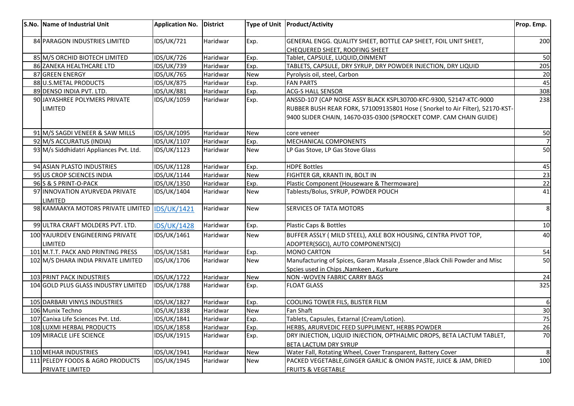| S.No. Name of Industrial Unit                       | Application No. District |          |            | Type of Unit Product/Activity                                                                                                                      | Prop. Emp.      |
|-----------------------------------------------------|--------------------------|----------|------------|----------------------------------------------------------------------------------------------------------------------------------------------------|-----------------|
| 84 PARAGON INDUSTRIES LIMITED                       | <b>IDS/UK/721</b>        | Haridwar | Exp.       | GENERAL ENGG. QUALITY SHEET, BOTTLE CAP SHEET, FOIL UNIT SHEET,<br>CHEQUERED SHEET, ROOFING SHEET                                                  | 200             |
| 85 M/S ORCHID BIOTECH LIMITED                       | <b>IDS/UK/726</b>        | Haridwar | Exp.       | Tablet, CAPSULE, LUQUID, OINMENT                                                                                                                   | 50              |
| 86 ZANEKA HEALTHCARE LTD                            | IDS/UK/739               | Haridwar | Exp.       | TABLETS, CAPSULE, DRY SYRUP, DRY POWDER INJECTION, DRY LIQUID                                                                                      | 205             |
| 87 GREEN ENERGY                                     | <b>IDS/UK/765</b>        | Haridwar | <b>New</b> | Pyrolysis oil, steel, Carbon                                                                                                                       | 20              |
| 88 U.S.METAL PRODUCTS                               | <b>IDS/UK/875</b>        | Haridwar | Exp.       | <b>FAN PARTS</b>                                                                                                                                   | 45              |
| 89 DENSO INDIA PVT. LTD.                            | <b>IDS/UK/881</b>        | Haridwar | Exp.       | ACG-S HALL SENSOR                                                                                                                                  | 308             |
| 90 JAYASHREE POLYMERS PRIVATE<br>LIMITED            | IDS/UK/1059              | Haridwar | Exp.       | ANSSD-107 (CAP NOISE ASSY BLACK KSPL30700-KFC-9300, 52147-KTC-9000<br>RUBBER BUSH REAR FORK, 571009135801 Hose (Snorkel to Air Filter), 52170-KST- | 238             |
|                                                     |                          |          |            | 9400 SLIDER CHAIN, 14670-035-0300 (SPROCKET COMP. CAM CHAIN GUIDE)                                                                                 |                 |
| 91 M/S SAGDI VENEER & SAW MILLS                     | IDS/UK/1095              | Haridwar | New        | core veneer                                                                                                                                        | 50              |
| 92 M/S ACCURATUS (INDIA)                            | IDS/UK/1107              | Haridwar | Exp.       | MECHANICAL COMPONENTS                                                                                                                              | $\overline{7}$  |
| 93 M/s Siddhidatri Appliances Pvt. Ltd.             | IDS/UK/1123              | Haridwar | <b>New</b> | LP Gas Stove, LP Gas Stove Glass                                                                                                                   | 50              |
| 94 ASIAN PLASTO INDUSTRIES                          | IDS/UK/1128              | Haridwar | Exp.       | <b>HDPE Bottles</b>                                                                                                                                | 45              |
| 95 US CROP SCIENCES INDIA                           | IDS/UK/1144              | Haridwar | <b>New</b> | FIGHTER GR, KRANTI IN, BOLT IN                                                                                                                     | $\overline{23}$ |
| 96 S & S PRINT-O-PACK                               | IDS/UK/1350              | Haridwar | Exp.       | Plastic Component (Houseware & Thermoware)                                                                                                         | $\overline{22}$ |
| 97 INNOVATION AYURVEDA PRIVATE<br>LIMITED           | IDS/UK/1404              | Haridwar | <b>New</b> | Tablests/Bolus, SYRUP, POWDER POUCH                                                                                                                | 41              |
| 98 KAMAAKYA MOTORS PRIVATE LIMITED                  | <b>IDS/UK/1421</b>       | Haridwar | <b>New</b> | SERVICES OF TATA MOTORS                                                                                                                            | $\infty$        |
| 99 ULTRA CRAFT MOLDERS PVT. LTD.                    | <b>IDS/UK/1428</b>       | Haridwar | Exp.       | Plastic Caps & Bottles                                                                                                                             | 10              |
| 100 YAJURDEV ENGINEERING PRIVATE<br><b>LIMITED</b>  | IDS/UK/1461              | Haridwar | <b>New</b> | BUFFER ASSLY (MILD STEEL), AXLE BOX HOUSING, CENTRA PIVOT TOP,<br>ADOPTER(SGCI), AUTO COMPONENTS(CI)                                               | 40              |
| 101 M.T.T. PACK AND PRINTING PRESS                  | IDS/UK/1581              | Haridwar | Exp.       | <b>MONO CARTON</b>                                                                                                                                 | 54              |
| 102 M/S DHARA INDIA PRIVATE LIMITED                 | IDS/UK/1706              | Haridwar | <b>New</b> | Manufacturing of Spices, Garam Masala , Essence , Black Chili Powder and Misc<br>Spcies used in Chips , Namkeen, Kurkure                           | 50              |
| 103 PRINT PACK INDUSTRIES                           | IDS/UK/1722              | Haridwar | <b>New</b> | <b>NON -WOVEN FABRIC CARRY BAGS</b>                                                                                                                | 24              |
| 104 GOLD PLUS GLASS INDUSTRY LIMITED                | <b>IDS/UK/1788</b>       | Haridwar | Exp.       | <b>FLOAT GLASS</b>                                                                                                                                 | 325             |
| 105 DARBARI VINYLS INDUSTRIES                       | IDS/UK/1827              | Haridwar | Exp.       | COOLING TOWER FILS, BLISTER FILM                                                                                                                   | 6               |
| 106 Munix Techno                                    | IDS/UK/1838              | Haridwar | <b>New</b> | Fan Shaft                                                                                                                                          | 30              |
| 107 Canixa Life Sciences Pvt. Ltd.                  | IDS/UK/1841              | Haridwar | Exp.       | Tablets, Capsules, Extarnal (Cream/Lotion).                                                                                                        | 75              |
| 108 LUXMI HERBAL PRODUCTS                           | IDS/UK/1858              | Haridwar | Exp.       | HERBS, ARURVEDIC FEED SUPPLIMENT, HERBS POWDER                                                                                                     | 26              |
| 109 MIRACLE LIFE SCIENCE                            | IDS/UK/1915              | Haridwar | Exp.       | DRY INJECTION, LIQUID INJECTION, OPTHALMIC DROPS, BETA LACTUM TABLET,<br>BETA LACTUM DRY SYRUP                                                     | 70              |
| 110 MEHAR INDUSTRIES                                | IDS/UK/1941              | Haridwar | <b>New</b> | Water Fall, Rotating Wheel, Cover Transparent, Battery Cover                                                                                       | 8 <sup>1</sup>  |
| 111 PELEDY FOODS & AGRO PRODUCTS<br>PRIVATE LIMITED | IDS/UK/1945              | Haridwar | <b>New</b> | PACKED VEGETABLE, GINGER GARLIC & ONION PASTE, JUICE & JAM, DRIED<br><b>FRUITS &amp; VEGETABLE</b>                                                 | 100             |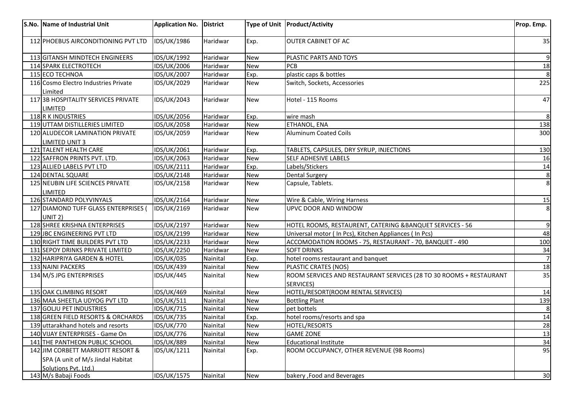|     | S.No. Name of Industrial Unit                   | <b>Application No.</b> | District |            | Type of Unit   Product/Activity                                    | Prop. Emp.     |
|-----|-------------------------------------------------|------------------------|----------|------------|--------------------------------------------------------------------|----------------|
|     |                                                 |                        |          |            |                                                                    |                |
|     | 112 PHOEBUS AIRCONDITIONING PVT LTD             | IDS/UK/1986            | Haridwar | Exp.       | <b>OUTER CABINET OF AC</b>                                         | 35             |
|     | 113 GITANSH MINDTECH ENGINEERS                  | IDS/UK/1992            | Haridwar | <b>New</b> | PLASTIC PARTS AND TOYS                                             | $\overline{9}$ |
|     | 114 SPARK ELECTROTECH                           | IDS/UK/2006            | Haridwar | <b>New</b> | PCB                                                                | 18             |
|     | 115 ECO TECHNOA                                 | IDS/UK/2007            | Haridwar | Exp.       | plastic caps & bottles                                             |                |
|     | 116 Cosmo Electro Industries Private<br>Limited | IDS/UK/2029            | Haridwar | New        | Switch, Sockets, Accessories                                       | 225            |
|     | 117 3B HOSPITALITY SERVICES PRIVATE<br>LIMITED  | <b>IDS/UK/2043</b>     | Haridwar | <b>New</b> | Hotel - 115 Rooms                                                  | 47             |
|     | 118 R K INDUSTRIES                              | <b>IDS/UK/2056</b>     | Haridwar | Exp.       | wire mash                                                          |                |
|     | 119 UTTAM DISTILLERIES LIMITED                  | IDS/UK/2058            | Haridwar | <b>New</b> | ETHANOL, ENA                                                       | 138            |
|     | 120 ALUDECOR LAMINATION PRIVATE                 | IDS/UK/2059            | Haridwar | New        | <b>Aluminum Coated Coils</b>                                       | 300            |
|     | <b>LIMITED UNIT 3</b>                           |                        |          |            |                                                                    |                |
| 121 | TALENT HEALTH CARE                              | IDS/UK/2061            | Haridwar | Exp.       | TABLETS, CAPSULES, DRY SYRUP, INJECTIONS                           | 130            |
|     | 122 SAFFRON PRINTS PVT. LTD.                    | IDS/UK/2063            | Haridwar | <b>New</b> | SELF ADHESIVE LABELS                                               | 16             |
|     | 123 ALLIED LABELS PVT LTD                       | IDS/UK/2111            | Haridwar | Exp.       | Labels/Stickers                                                    | 14             |
|     | 124 DENTAL SQUARE                               | IDS/UK/2148            | Haridwar | <b>New</b> | <b>Dental Surgery</b>                                              | 8 <sup>2</sup> |
|     | 125 NEUBIN LIFE SCIENCES PRIVATE                | IDS/UK/2158            | Haridwar | <b>New</b> | Capsule, Tablets.                                                  | 8 <sup>1</sup> |
|     | LIMITED                                         |                        |          |            |                                                                    |                |
|     | 126 STANDARD POLYVINYALS                        | IDS/UK/2164            | Haridwar | <b>New</b> | Wire & Cable, Wiring Harness                                       | <b>15</b>      |
|     | 127 DIAMOND TUFF GLASS ENTERPRISES (            | IDS/UK/2169            | Haridwar | <b>New</b> | UPVC DOOR AND WINDOW                                               | 8              |
|     | UNIT 2)                                         |                        |          |            |                                                                    |                |
|     | 128 SHREE KRISHNA ENTERPRISES                   | IDS/UK/2197            | Haridwar | <b>New</b> | HOTEL ROOMS, RESTAURENT, CATERING & BANQUET SERVICES - 56          | $\overline{9}$ |
|     | 129 JBC ENGINEERING PVT LTD                     | IDS/UK/2199            | Haridwar | <b>New</b> | Universal motor (In Pcs), Kitchen Appliances (In Pcs)              | 48             |
|     | 130 RIGHT TIME BUILDERS PVT LTD                 | IDS/UK/2233            | Haridwar | <b>New</b> | ACCOMODATION ROOMS - 75, RESTAURANT - 70, BANQUET - 490            | 100            |
|     | 131 SEPOY DRINKS PRIVATE LIMITED                | IDS/UK/2250            | Haridwar | <b>New</b> | <b>SOFT DRINKS</b>                                                 | 34             |
|     | 132 HARIPRIYA GARDEN & HOTEL                    | <b>IDS/UK/035</b>      | Nainital | Exp.       | hotel rooms restaurant and banquet                                 |                |
|     | 133 NAINI PACKERS                               | <b>IDS/UK/439</b>      | Nainital | New        | PLASTIC CRATES (NOS)                                               | 18             |
|     | 134 M/S JPG ENTERPRISES                         | <b>IDS/UK/445</b>      | Nainital | <b>New</b> | ROOM SERVICES AND RESTAURANT SERVICES (28 TO 30 ROOMS + RESTAURANT | 35             |
|     |                                                 |                        |          |            | <b>SERVICES)</b>                                                   |                |
|     | 135 OAK CLIMBING RESORT                         | <b>IDS/UK/469</b>      | Nainital | <b>New</b> | HOTEL/RESORT(ROOM RENTAL SERVICES)                                 | 14             |
|     | 136 MAA SHEETLA UDYOG PVT LTD                   | <b>IDS/UK/511</b>      | Nainital | <b>New</b> | <b>Bottling Plant</b>                                              | 139            |
|     | 137 GOLJU PET INDUSTRIES                        | <b>IDS/UK/715</b>      | Nainital | <b>New</b> | pet bottels                                                        |                |
|     | 138 GREEN FIELD RESORTS & ORCHARDS              | <b>IDS/UK/735</b>      | Nainital | Exp.       | hotel rooms/resorts and spa                                        | 14             |
|     | 139 uttarakhand hotels and resorts              | <b>IDS/UK/770</b>      | Nainital | New        | <b>HOTEL/RESORTS</b>                                               | 28             |
|     | 140 VIJAY ENTERPRISES - Game On                 | <b>IDS/UK/776</b>      | Nainital | <b>New</b> | <b>GAME ZONE</b>                                                   | 13             |
|     | 141 THE PANTHEON PUBLIC SCHOOL                  | <b>IDS/UK/889</b>      | Nainital | <b>New</b> | <b>Educational Institute</b>                                       | 34             |
|     | 142 JIM CORBETT MARRIOTT RESORT &               | IDS/UK/1211            | Nainital | Exp.       | ROOM OCCUPANCY, OTHER REVENUE (98 Rooms)                           | 95             |
|     | SPA (A unit of M/s Jindal Habitat               |                        |          |            |                                                                    |                |
|     | Solutions Pvt. Ltd.)                            |                        |          |            |                                                                    |                |
|     | 143 M/s Babaji Foods                            | <b>IDS/UK/1575</b>     | Nainital | <b>New</b> | bakery, Food and Beverages                                         | 30             |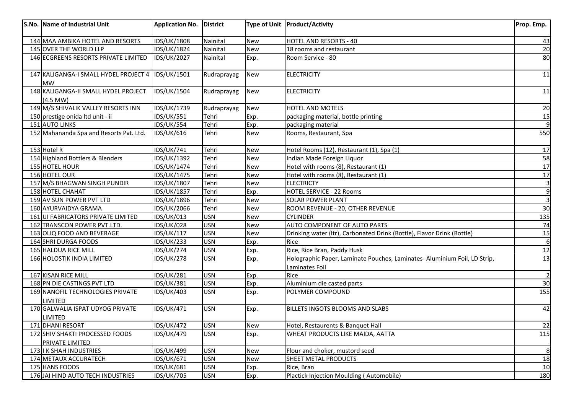| S.No. Name of Industrial Unit                         | Application No.    | <b>District</b> |            | Type of Unit Product/Activity                                                               | Prop. Emp.      |
|-------------------------------------------------------|--------------------|-----------------|------------|---------------------------------------------------------------------------------------------|-----------------|
| 144 MAA AMBIKA HOTEL AND RESORTS                      | IDS/UK/1808        | Nainital        | <b>New</b> | <b>HOTEL AND RESORTS - 40</b>                                                               | 43              |
| 145 OVER THE WORLD LLP                                | IDS/UK/1824        | Nainital        | <b>New</b> | 18 rooms and restaurant                                                                     | 20              |
| 146 ECGREENS RESORTS PRIVATE LIMITED                  | <b>IDS/UK/2027</b> | Nainital        | Exp.       | Room Service - 80                                                                           | 80              |
| 147 KALIGANGA-I SMALL HYDEL PROJECT 4<br><b>MW</b>    | IDS/UK/1501        | Rudraprayag     | <b>New</b> | <b>ELECTRICITY</b>                                                                          | 11              |
| 148 KALIGANGA-II SMALL HYDEL PROJECT<br>$(4.5$ MW $)$ | IDS/UK/1504        | Rudraprayag     | <b>New</b> | <b>ELECTRICITY</b>                                                                          | 11              |
| 149 M/S SHIVALIK VALLEY RESORTS INN                   | IDS/UK/1739        | Rudraprayag     | <b>New</b> | HOTEL AND MOTELS                                                                            | 20              |
| 150 prestige onida ltd unit - ii                      | <b>IDS/UK/551</b>  | Tehri           | Exp.       | packaging material, bottle printing                                                         | 15              |
| 151 AUTO LINKS                                        | IDS/UK/554         | Tehri           | Exp.       | packaging material                                                                          | $\overline{9}$  |
| 152 Mahananda Spa and Resorts Pvt. Ltd.               | <b>IDS/UK/616</b>  | Tehri           | <b>New</b> | Rooms, Restaurant, Spa                                                                      | 550             |
| 153 Hotel R                                           | <b>IDS/UK/741</b>  | Tehri           | <b>New</b> | Hotel Rooms (12), Restaurant (1), Spa (1)                                                   | 17              |
| 154 Highland Bottlers & Blenders                      | IDS/UK/1392        | Tehri           | <b>New</b> | Indian Made Foreign Liquor                                                                  | 58              |
| 155 HOTEL HOUR                                        | IDS/UK/1474        | Tehri           | <b>New</b> | Hotel with rooms (8), Restaurant (1)                                                        | 17              |
| 156 HOTEL OUR                                         | IDS/UK/1475        | Tehri           | <b>New</b> | Hotel with rooms (8), Restaurant (1)                                                        | 17              |
| 157 M/S BHAGWAN SINGH PUNDIR                          | IDS/UK/1807        | Tehri           | <b>New</b> | <b>ELECTRICTY</b>                                                                           | 3               |
| 158 HOTEL CHAHAT                                      | IDS/UK/1857        | Tehri           | Exp.       | <b>HOTEL SERVICE - 22 Rooms</b>                                                             | $\overline{9}$  |
| 159 AV SUN POWER PVT LTD                              | IDS/UK/1896        | Tehri           | <b>New</b> | SOLAR POWER PLANT                                                                           | $\overline{3}$  |
| 160 AYURVAIDYA GRAMA                                  | IDS/UK/2066        | Tehri           | <b>New</b> | ROOM REVENUE - 20, OTHER REVENUE                                                            | 30              |
| 161 UI FABRICATORS PRIVATE LIMITED                    | IDS/UK/013         | <b>USN</b>      | <b>New</b> | <b>CYLINDER</b>                                                                             | 135             |
| 162 TRANSCON POWER PVT.LTD.                           | <b>IDS/UK/028</b>  | <b>USN</b>      | <b>New</b> | AUTO COMPONENT OF AUTO PARTS                                                                | 74              |
| 163 OLIQ FOOD AND BEVERAGE                            | <b>IDS/UK/117</b>  | <b>USN</b>      | <b>New</b> | Drinking water (Itr), Carbonated Drink (Bottle), Flavor Drink (Bottle)                      | <u>15</u>       |
| 164 SHRI DURGA FOODS                                  | <b>IDS/UK/233</b>  | <b>USN</b>      | Exp.       | Rice                                                                                        | $\overline{6}$  |
| 165 HALDUA RICE MILL                                  | <b>IDS/UK/274</b>  | <b>USN</b>      | Exp.       | Rice, Rice Bran, Paddy Husk                                                                 | 12              |
| 166 HOLOSTIK INDIA LIMITED                            | <b>IDS/UK/278</b>  | <b>USN</b>      | Exp.       | Holographic Paper, Laminate Pouches, Laminates- Aluminium Foil, LD Strip,<br>Laminates Foil | 13              |
| 167 KISAN RICE MILL                                   | <b>IDS/UK/281</b>  | <b>USN</b>      | Exp.       | Rice                                                                                        | $\overline{2}$  |
| 168 PN DIE CASTINGS PVT LTD                           | <b>IDS/UK/381</b>  | <b>USN</b>      | Exp.       | Aluminium die casted parts                                                                  | 30 <sub>o</sub> |
| 169 NANOFIL TECHNOLOGIES PRIVATE<br>LIMITED           | <b>IDS/UK/403</b>  | <b>USN</b>      | Exp.       | POLYMER COMPOUND                                                                            | 155             |
| 170 GALWALIA ISPAT UDYOG PRIVATE<br><b>LIMITED</b>    | <b>IDS/UK/471</b>  | <b>USN</b>      | Exp.       | <b>BILLETS INGOTS BLOOMS AND SLABS</b>                                                      | 42              |
| 171 DHANI RESORT                                      | <b>IDS/UK/472</b>  | <b>USN</b>      | New        | Hotel, Restaurents & Banquet Hall                                                           | 22              |
| 172 SHIV SHAKTI PROCESSED FOODS<br>PRIVATE LIMITED    | <b>IDS/UK/479</b>  | <b>USN</b>      | Exp.       | WHEAT PRODUCTS LIKE MAIDA, AATTA                                                            | 115             |
| 173 I K SHAH INDUSTRIES                               | <b>IDS/UK/499</b>  | <b>USN</b>      | <b>New</b> | Flour and choker, mustord seed                                                              | 8               |
| 174 METAUX ACCURATECH                                 | IDS/UK/671         | <b>USN</b>      | New        | SHEET METAL PRODUCTS                                                                        | 18              |
| 175 HANS FOODS                                        | <b>IDS/UK/681</b>  | <b>USN</b>      | Exp.       | Rice, Bran                                                                                  | 10              |
| 176 JAI HIND AUTO TECH INDUSTRIES                     | <b>IDS/UK/705</b>  | <b>USN</b>      | Exp.       | Plactick Injection Moulding (Automobile)                                                    | 180             |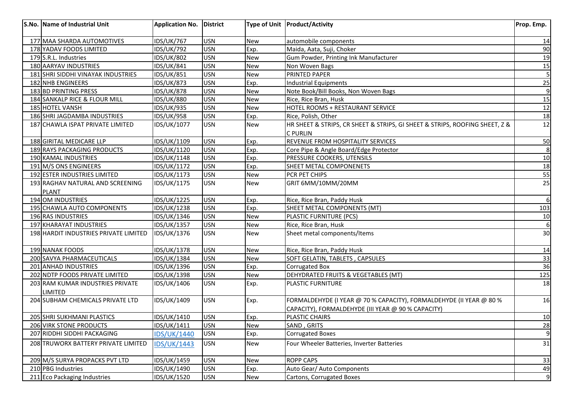| 177 MAA SHARDA AUTOMOTIVES<br><b>IDS/UK/767</b><br><b>USN</b><br><b>New</b><br>automobile components<br>178 YADAV FOODS LIMITED<br><b>IDS/UK/792</b><br><b>USN</b><br>Exp.<br>Maida, Aata, Suji, Choker<br><b>IDS/UK/802</b><br><b>USN</b><br>Gum Powder, Printing Ink Manufacturer<br>179 S.R.L. Industries<br><b>New</b><br>180 AARYAV INDUSTRIES<br><b>USN</b><br><b>IDS/UK/841</b><br><b>New</b><br>Non Woven Bags<br>181 SHRI SIDDHI VINAYAK INDUSTRIES<br><b>USN</b><br><b>IDS/UK/851</b><br>PRINTED PAPER<br><b>New</b><br><b>IDS/UK/873</b><br><b>USN</b><br>182 NHB ENGINEERS<br><b>Industrial Equipments</b><br>Exp.<br>183 BD PRINTING PRESS<br><b>IDS/UK/878</b><br><b>USN</b><br>Note Book/Bill Books, Non Woven Bags<br><b>New</b><br>184 SANKALP RICE & FLOUR MILL<br><b>IDS/UK/880</b><br>USN<br>Rice, Rice Bran, Husk<br><b>New</b><br>185 HOTEL VANSH<br><b>IDS/UK/935</b><br><b>USN</b><br>HOTEL ROOMS + RESTAURANT SERVICE<br><b>New</b><br>186 SHRI JAGDAMBA INDUSTRIES<br><b>IDS/UK/958</b><br><b>USN</b><br>Rice, Polish, Other<br>Exp.<br>187 CHAWLA ISPAT PRIVATE LIMITED<br>IDS/UK/1077<br><b>USN</b><br>HR SHEET & STRIPS, CR SHEET & STRIPS, GI SHEET & STRIPS, ROOFING SHEET, Z &<br><b>New</b><br><b>C PURLIN</b><br><b>USN</b><br>REVENUE FROM HOSPITALITY SERVICES<br>188 GIRITAL MEDICARE LLP<br>IDS/UK/1109<br>Exp. | 14<br>90<br>19<br>15<br>5 |
|-------------------------------------------------------------------------------------------------------------------------------------------------------------------------------------------------------------------------------------------------------------------------------------------------------------------------------------------------------------------------------------------------------------------------------------------------------------------------------------------------------------------------------------------------------------------------------------------------------------------------------------------------------------------------------------------------------------------------------------------------------------------------------------------------------------------------------------------------------------------------------------------------------------------------------------------------------------------------------------------------------------------------------------------------------------------------------------------------------------------------------------------------------------------------------------------------------------------------------------------------------------------------------------------------------------------------------------------------------|---------------------------|
|                                                                                                                                                                                                                                                                                                                                                                                                                                                                                                                                                                                                                                                                                                                                                                                                                                                                                                                                                                                                                                                                                                                                                                                                                                                                                                                                                       |                           |
|                                                                                                                                                                                                                                                                                                                                                                                                                                                                                                                                                                                                                                                                                                                                                                                                                                                                                                                                                                                                                                                                                                                                                                                                                                                                                                                                                       |                           |
|                                                                                                                                                                                                                                                                                                                                                                                                                                                                                                                                                                                                                                                                                                                                                                                                                                                                                                                                                                                                                                                                                                                                                                                                                                                                                                                                                       |                           |
|                                                                                                                                                                                                                                                                                                                                                                                                                                                                                                                                                                                                                                                                                                                                                                                                                                                                                                                                                                                                                                                                                                                                                                                                                                                                                                                                                       |                           |
|                                                                                                                                                                                                                                                                                                                                                                                                                                                                                                                                                                                                                                                                                                                                                                                                                                                                                                                                                                                                                                                                                                                                                                                                                                                                                                                                                       |                           |
|                                                                                                                                                                                                                                                                                                                                                                                                                                                                                                                                                                                                                                                                                                                                                                                                                                                                                                                                                                                                                                                                                                                                                                                                                                                                                                                                                       | 25                        |
|                                                                                                                                                                                                                                                                                                                                                                                                                                                                                                                                                                                                                                                                                                                                                                                                                                                                                                                                                                                                                                                                                                                                                                                                                                                                                                                                                       | $\overline{9}$            |
|                                                                                                                                                                                                                                                                                                                                                                                                                                                                                                                                                                                                                                                                                                                                                                                                                                                                                                                                                                                                                                                                                                                                                                                                                                                                                                                                                       | 15                        |
|                                                                                                                                                                                                                                                                                                                                                                                                                                                                                                                                                                                                                                                                                                                                                                                                                                                                                                                                                                                                                                                                                                                                                                                                                                                                                                                                                       | 12                        |
|                                                                                                                                                                                                                                                                                                                                                                                                                                                                                                                                                                                                                                                                                                                                                                                                                                                                                                                                                                                                                                                                                                                                                                                                                                                                                                                                                       | 18                        |
|                                                                                                                                                                                                                                                                                                                                                                                                                                                                                                                                                                                                                                                                                                                                                                                                                                                                                                                                                                                                                                                                                                                                                                                                                                                                                                                                                       | 12                        |
|                                                                                                                                                                                                                                                                                                                                                                                                                                                                                                                                                                                                                                                                                                                                                                                                                                                                                                                                                                                                                                                                                                                                                                                                                                                                                                                                                       |                           |
|                                                                                                                                                                                                                                                                                                                                                                                                                                                                                                                                                                                                                                                                                                                                                                                                                                                                                                                                                                                                                                                                                                                                                                                                                                                                                                                                                       | 50                        |
| <b>USN</b><br>189 RAYS PACKAGING PRODUCTS<br>IDS/UK/1120<br>Core Pipe & Angle Board/Edge Protector<br>Exp.                                                                                                                                                                                                                                                                                                                                                                                                                                                                                                                                                                                                                                                                                                                                                                                                                                                                                                                                                                                                                                                                                                                                                                                                                                            | $\infty$                  |
| <b>USN</b><br>PRESSURE COOKERS, UTENSILS<br>190 KAMAL INDUSTRIES<br>IDS/UK/1148<br>Exp.                                                                                                                                                                                                                                                                                                                                                                                                                                                                                                                                                                                                                                                                                                                                                                                                                                                                                                                                                                                                                                                                                                                                                                                                                                                               | 10                        |
| 191 M/S ONS ENGINEERS<br><b>USN</b><br>SHEET METAL COMPONENETS<br>IDS/UK/1172<br>Exp.                                                                                                                                                                                                                                                                                                                                                                                                                                                                                                                                                                                                                                                                                                                                                                                                                                                                                                                                                                                                                                                                                                                                                                                                                                                                 | 18                        |
| 192 ESTER INDUSTRIES LIMITED<br><b>USN</b><br>IDS/UK/1173<br>PCR PET CHIPS<br><b>New</b>                                                                                                                                                                                                                                                                                                                                                                                                                                                                                                                                                                                                                                                                                                                                                                                                                                                                                                                                                                                                                                                                                                                                                                                                                                                              | 55                        |
| 193 RAGHAV NATURAL AND SCREENING<br>IDS/UK/1175<br><b>USN</b><br>GRIT 6MM/10MM/20MM<br><b>New</b>                                                                                                                                                                                                                                                                                                                                                                                                                                                                                                                                                                                                                                                                                                                                                                                                                                                                                                                                                                                                                                                                                                                                                                                                                                                     | 25                        |
| <b>PLANT</b>                                                                                                                                                                                                                                                                                                                                                                                                                                                                                                                                                                                                                                                                                                                                                                                                                                                                                                                                                                                                                                                                                                                                                                                                                                                                                                                                          |                           |
| 194 OM INDUSTRIES<br>IDS/UK/1225<br><b>USN</b><br>Exp.<br>Rice, Rice Bran, Paddy Husk                                                                                                                                                                                                                                                                                                                                                                                                                                                                                                                                                                                                                                                                                                                                                                                                                                                                                                                                                                                                                                                                                                                                                                                                                                                                 | 6                         |
| IDS/UK/1238<br><b>USN</b><br><b>SHEET METAL COMPONENTS (MT)</b><br>195 CHAWLA AUTO COMPONENTS<br>Exp.                                                                                                                                                                                                                                                                                                                                                                                                                                                                                                                                                                                                                                                                                                                                                                                                                                                                                                                                                                                                                                                                                                                                                                                                                                                 | 103                       |
| 196 RAS INDUSTRIES<br>IDS/UK/1346<br><b>USN</b><br>PLASTIC FURNITURE (PCS)<br><b>New</b>                                                                                                                                                                                                                                                                                                                                                                                                                                                                                                                                                                                                                                                                                                                                                                                                                                                                                                                                                                                                                                                                                                                                                                                                                                                              | <b>10</b>                 |
| 197 KHARAYAT INDUSTRIES<br>IDS/UK/1357<br><b>USN</b><br>Rice, Rice Bran, Husk<br><b>New</b>                                                                                                                                                                                                                                                                                                                                                                                                                                                                                                                                                                                                                                                                                                                                                                                                                                                                                                                                                                                                                                                                                                                                                                                                                                                           | 6                         |
| 198 HARDIT INDUSTRIES PRIVATE LIMITED<br><b>USN</b><br>Sheet metal components/Items<br>IDS/UK/1376<br><b>New</b>                                                                                                                                                                                                                                                                                                                                                                                                                                                                                                                                                                                                                                                                                                                                                                                                                                                                                                                                                                                                                                                                                                                                                                                                                                      | 30                        |
| 199 NANAK FOODS<br>IDS/UK/1378<br><b>USN</b><br><b>New</b><br>Rice, Rice Bran, Paddy Husk                                                                                                                                                                                                                                                                                                                                                                                                                                                                                                                                                                                                                                                                                                                                                                                                                                                                                                                                                                                                                                                                                                                                                                                                                                                             | <b>14</b>                 |
| <b>USN</b><br>200 SAVYA PHARMACEUTICALS<br>IDS/UK/1384<br>SOFT GELATIN, TABLETS, CAPSULES<br><b>New</b>                                                                                                                                                                                                                                                                                                                                                                                                                                                                                                                                                                                                                                                                                                                                                                                                                                                                                                                                                                                                                                                                                                                                                                                                                                               | 33                        |
| 201 ANHAD INDUSTRIES<br>IDS/UK/1396<br><b>USN</b><br>Exp.<br><b>Corrugated Box</b>                                                                                                                                                                                                                                                                                                                                                                                                                                                                                                                                                                                                                                                                                                                                                                                                                                                                                                                                                                                                                                                                                                                                                                                                                                                                    | 36                        |
| 202 NDTP FOODS PRIVATE LIMITED<br>IDS/UK/1398<br><b>USN</b><br>DEHYDRATED FRUITS & VEGETABLES (MT)<br><b>New</b>                                                                                                                                                                                                                                                                                                                                                                                                                                                                                                                                                                                                                                                                                                                                                                                                                                                                                                                                                                                                                                                                                                                                                                                                                                      | 125                       |
| <b>USN</b><br>203 RAM KUMAR INDUSTRIES PRIVATE<br>IDS/UK/1406<br><b>PLASTIC FURNITURE</b><br>Exp.<br><b>LIMITED</b>                                                                                                                                                                                                                                                                                                                                                                                                                                                                                                                                                                                                                                                                                                                                                                                                                                                                                                                                                                                                                                                                                                                                                                                                                                   | 18                        |
| 204 SUBHAM CHEMICALS PRIVATE LTD<br>IDS/UK/1409<br><b>USN</b><br>FORMALDEHYDE (I YEAR @ 70 % CAPACITY), FORMALDEHYDE (II YEAR @ 80 %<br>Exp.<br>CAPACITY), FORMALDEHYDE (III YEAR @ 90 % CAPACITY)                                                                                                                                                                                                                                                                                                                                                                                                                                                                                                                                                                                                                                                                                                                                                                                                                                                                                                                                                                                                                                                                                                                                                    | 16                        |
| 205 SHRI SUKHMANI PLASTICS<br>IDS/UK/1410<br><b>USN</b><br>PLASTIC CHAIRS<br>Exp.                                                                                                                                                                                                                                                                                                                                                                                                                                                                                                                                                                                                                                                                                                                                                                                                                                                                                                                                                                                                                                                                                                                                                                                                                                                                     | 10                        |
| IDS/UK/1411<br><b>USN</b><br>206 VIRK STONE PRODUCTS<br>SAND, GRITS<br>New                                                                                                                                                                                                                                                                                                                                                                                                                                                                                                                                                                                                                                                                                                                                                                                                                                                                                                                                                                                                                                                                                                                                                                                                                                                                            | 28                        |
| 207 RIDDHI SIDDHI PACKAGING<br>USN<br><b>IDS/UK/1440</b><br><b>Corrugated Boxes</b><br>Exp.                                                                                                                                                                                                                                                                                                                                                                                                                                                                                                                                                                                                                                                                                                                                                                                                                                                                                                                                                                                                                                                                                                                                                                                                                                                           | $\overline{9}$            |
| 208 TRUWORX BATTERY PRIVATE LIMITED<br><b>USN</b><br>Four Wheeler Batteries, Inverter Batteries<br><b>IDS/UK/1443</b><br><b>New</b>                                                                                                                                                                                                                                                                                                                                                                                                                                                                                                                                                                                                                                                                                                                                                                                                                                                                                                                                                                                                                                                                                                                                                                                                                   | 31                        |
| <b>ROPP CAPS</b><br>209 M/S SURYA PROPACKS PVT LTD<br>IDS/UK/1459<br><b>USN</b><br><b>New</b>                                                                                                                                                                                                                                                                                                                                                                                                                                                                                                                                                                                                                                                                                                                                                                                                                                                                                                                                                                                                                                                                                                                                                                                                                                                         | 33                        |
| 210 PBG Industries<br>IDS/UK/1490<br><b>USN</b><br>Auto Gear/ Auto Components<br>Exp.                                                                                                                                                                                                                                                                                                                                                                                                                                                                                                                                                                                                                                                                                                                                                                                                                                                                                                                                                                                                                                                                                                                                                                                                                                                                 | 49                        |
| 211 Eco Packaging Industries<br>IDS/UK/1520<br>USN<br>Cartons, Corrugated Boxes<br><b>New</b>                                                                                                                                                                                                                                                                                                                                                                                                                                                                                                                                                                                                                                                                                                                                                                                                                                                                                                                                                                                                                                                                                                                                                                                                                                                         | 9                         |